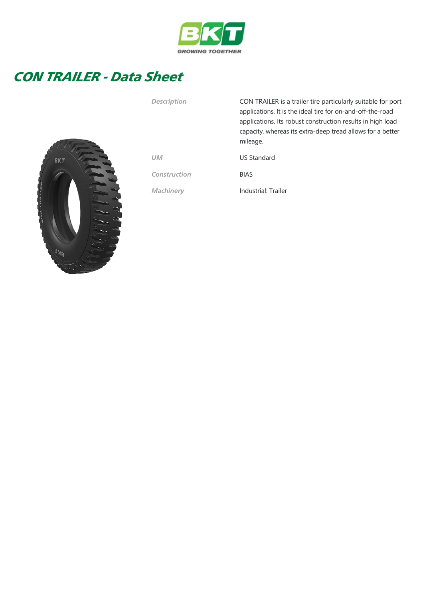

## CON TRAILER - Data Sheet



| Description | CON TRAILER is a trailer tire particularly suitable for port<br>applications. It is the ideal tire for on-and-off-the-road<br>applications. Its robust construction results in high load<br>capacity, whereas its extra-deep tread allows for a better<br>mileage. |
|-------------|--------------------------------------------------------------------------------------------------------------------------------------------------------------------------------------------------------------------------------------------------------------------|
| UМ          | <b>US Standard</b>                                                                                                                                                                                                                                                 |
|             |                                                                                                                                                                                                                                                                    |

Construction BIAS

**Description** 

Machinery **Industrial: Trailer**